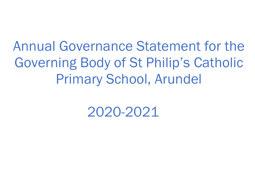Annual Governance Statement for the Governing Body of St Philip's Catholic Primary School, Arundel

2020-2021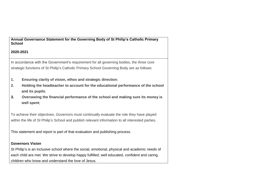**Annual Governance Statement for the Governing Body of St Philip's Catholic Primary School**

**2020-2021**

In accordance with the Government's requirement for all governing bodies, the three core strategic functions of St Philip's Catholic Primary School Governing Body are as follows:

- **1. Ensuring clarity of vision, ethos and strategic direction**;
- **2. Holding the headteacher to account for the educational performance of the school and its pupils**;
- **3. Overseeing the financial performance of the school and making sure its money is well spent**;

To achieve their objectives, Governors must continually evaluate the role they have played within the life of St Philip's School and publish relevant information to all interested parties.

This statement and report is part of that evaluation and publishing process.

## **Governors Vision**

St Philip's is an inclusive school where the social, emotional, physical and academic needs of each child are met. We strive to develop happy fulfilled, well educated, confident and caring children who know and understand the love of Jesus.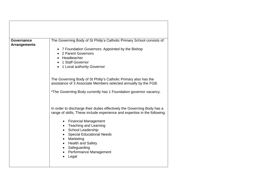| <b>Governance</b>   | The Governing Body of St Philip's Catholic Primary School consists of:                                                                                                                                                                                           |
|---------------------|------------------------------------------------------------------------------------------------------------------------------------------------------------------------------------------------------------------------------------------------------------------|
| <b>Arrangements</b> | • 7 Foundation Governors: Appointed by the Bishop<br>• 2 Parent Governors<br>• Headteacher<br>• 1 Staff Governor<br>• 1 Local authority Governor                                                                                                                 |
|                     | The Governing Body of St Philip's Catholic Primary also has the<br>assistance of 3 Associate Members selected annually by the FGB.                                                                                                                               |
|                     | *The Governing Body currently has 1 Foundation governor vacancy.                                                                                                                                                                                                 |
|                     | In order to discharge their duties effectively the Governing Body has a<br>range of skills; These include experience and expertise in the following:                                                                                                             |
|                     | <b>Financial Management</b><br>$\bullet$<br>• Teaching and Learning<br><b>School Leadership</b><br>$\bullet$<br><b>Special Educational Needs</b><br>Marketing<br>$\bullet$<br><b>Health and Safety</b><br>Safeguarding<br><b>Performance Management</b><br>Legal |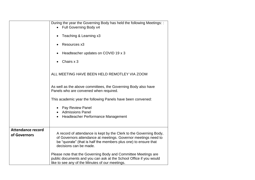|                                          | During the year the Governing Body has held the following Meetings: :<br>Full Governing Body x4                                                                                                                                   |
|------------------------------------------|-----------------------------------------------------------------------------------------------------------------------------------------------------------------------------------------------------------------------------------|
|                                          | Teaching & Learning x3                                                                                                                                                                                                            |
|                                          | Resources x3                                                                                                                                                                                                                      |
|                                          | Headteacher updates on COVID 19 x 3                                                                                                                                                                                               |
|                                          | Chairs x 3                                                                                                                                                                                                                        |
|                                          | ALL MEETING HAVE BEEN HELD REMOTLEY VIA ZOOM                                                                                                                                                                                      |
|                                          | As well as the above committees, the Governing Body also have<br>Panels who are convened when required.                                                                                                                           |
|                                          | This academic year the following Panels have been convened:                                                                                                                                                                       |
|                                          | Pay Review Panel<br><b>Admissions Panel</b>                                                                                                                                                                                       |
|                                          | Headteacher Performance Management                                                                                                                                                                                                |
| <b>Attendance record</b><br>of Governors | A record of attendance is kept by the Clerk to the Governing Body,<br>of Governors attendance at meetings. Governor meetings need to<br>be "quorate" (that is half the members plus one) to ensure that<br>decisions can be made. |
|                                          | Please note that the Governing Body and Committee Meetings are<br>public documents and you can ask at the School Office if you would<br>like to see any of the Minutes of our meetings.                                           |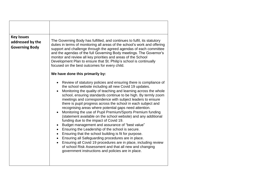| <b>Key Issues</b><br>The Governing Body has fulfilled, and continues to fulfil, its statutory<br>addressed by the<br>duties in terms of monitoring all areas of the school's work and offering<br><b>Governing Body</b><br>support and challenge through the agreed agendas of each committee<br>and the agendas of the full Governing Body meetings. The Governor's<br>monitor and review all key priorities and areas of the School<br>Development Plan to ensure that St. Philip's school is continually<br>focused on the best outcomes for every child.<br>We have done this primarily by:<br>Review of statutory policies and ensuring there is compliance of<br>the school website including all new Covid 19 updates.<br>Monitoring the quality of teaching and learning across the whole<br>school, ensuring standards continue to be high. By termly zoom<br>meetings and correspondence with subject leaders to ensure<br>there is pupil progress across the school in each subject and<br>recognising areas where potential gaps need attention.<br>Monitoring the use of Pupil Premium/Sports Premium funding<br>(statement available on the school website) and any additional<br>funding due to the impact of Covid 19.<br>Budget management and assurance of "best value"<br>$\bullet$<br>Ensuring the Leadership of the school is secure.<br>Ensuring that the school building is fit for purpose.<br>Ensuring all Safeguarding procedures are in place.<br>$\bullet$<br>Ensuring all Covid 19 procedures are in place, including review<br>of school Risk Assessment and that all new and changing<br>government instructions and policies are in place. |  |
|----------------------------------------------------------------------------------------------------------------------------------------------------------------------------------------------------------------------------------------------------------------------------------------------------------------------------------------------------------------------------------------------------------------------------------------------------------------------------------------------------------------------------------------------------------------------------------------------------------------------------------------------------------------------------------------------------------------------------------------------------------------------------------------------------------------------------------------------------------------------------------------------------------------------------------------------------------------------------------------------------------------------------------------------------------------------------------------------------------------------------------------------------------------------------------------------------------------------------------------------------------------------------------------------------------------------------------------------------------------------------------------------------------------------------------------------------------------------------------------------------------------------------------------------------------------------------------------------------------------------------------------------------------------------------|--|
|                                                                                                                                                                                                                                                                                                                                                                                                                                                                                                                                                                                                                                                                                                                                                                                                                                                                                                                                                                                                                                                                                                                                                                                                                                                                                                                                                                                                                                                                                                                                                                                                                                                                            |  |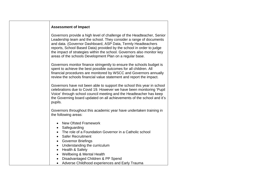## **Assessment of Impact**

Governors provide a high level of challenge of the Headteacher, Senior Leadership team and the school. They consider a range of documents and data. (Governor Dashboard, ASP Data, Termly Headteachers reports, School Based Data) provided by the school in order to judge the impact of strategies within the school. Governors also monitor key areas of the schools Development Plan on a regular base.

Governors monitor finance stringently to ensure the schools budget is spent to achieve the best possible outcomes for all children. All financial procedures are monitored by WSCC and Governors annually review the schools financial value statement and report the impact.

Governors have not been able to support the school this year in school celebrations due to Covid 19. However we have been monitoring 'Pupil Voice' through school council meeting and the Headteacher has keep the Governing board updated on all achievements of the school and it's pupils.

Governors throughout this academic year have undertaken training in the following areas:

- New Ofsted Framework
- Safeguarding
- The role of a Foundation Governor in a Catholic school
- Safer Recruitment
- Governor Briefings
- Understanding the curriculum
- Health & Safety
- Wellbeing & Mental Health
- Disadvantaged Children & PP Spend
- Adverse Childhood experiences and Early Trauma